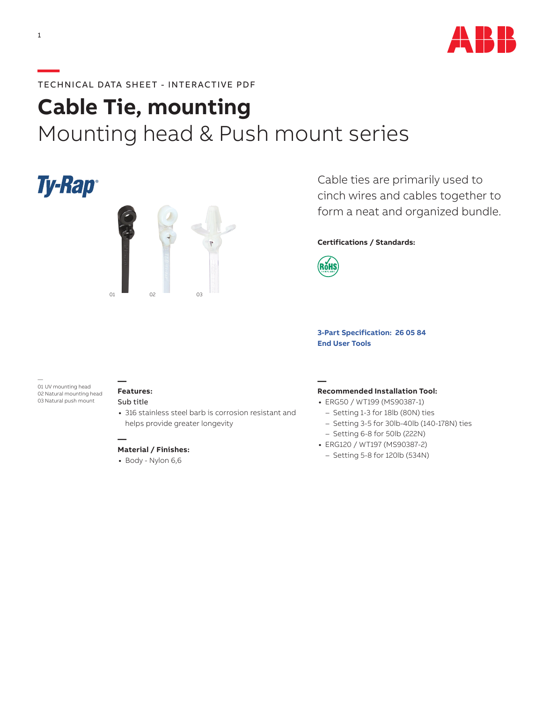

# **—**TECHNICAL DATA SHEET - INTERACTIVE PDF

# **Cable Tie, mounting** Mounting head & Push mount series

# **Ty-Rap**®



Cable ties are primarily used to cinch wires and cables together to form a neat and organized bundle.

## **Certifications / Standards:**



**[3-Part Specification:](http://www-public.tnb.com/ps/pubint/specguide.cgi) 26 05 84 [End User Tools](http://tnb.abb.com/pub/en/node/258)**

#### — 01 UV mounting head 02 Natural mounting head 03 Natural push mount

#### **Features:** Sub title

**—**

**—**

**•** 316 stainless steel barb is corrosion resistant and helps provide greater longevity

### **Material / Finishes:**

**•** Body - Nylon 6,6

#### **— Recommended Installation Tool:**

- **•** ERG50 / WT199 (MS90387-1)
	- Setting 1-3 for 18lb (80N) ties
	- Setting 3-5 for 30lb-40lb (140-178N) ties
	- Setting 6-8 for 50lb (222N)
- **•** ERG120 / WT197 (MS90387-2)
- Setting 5-8 for 120lb (534N)